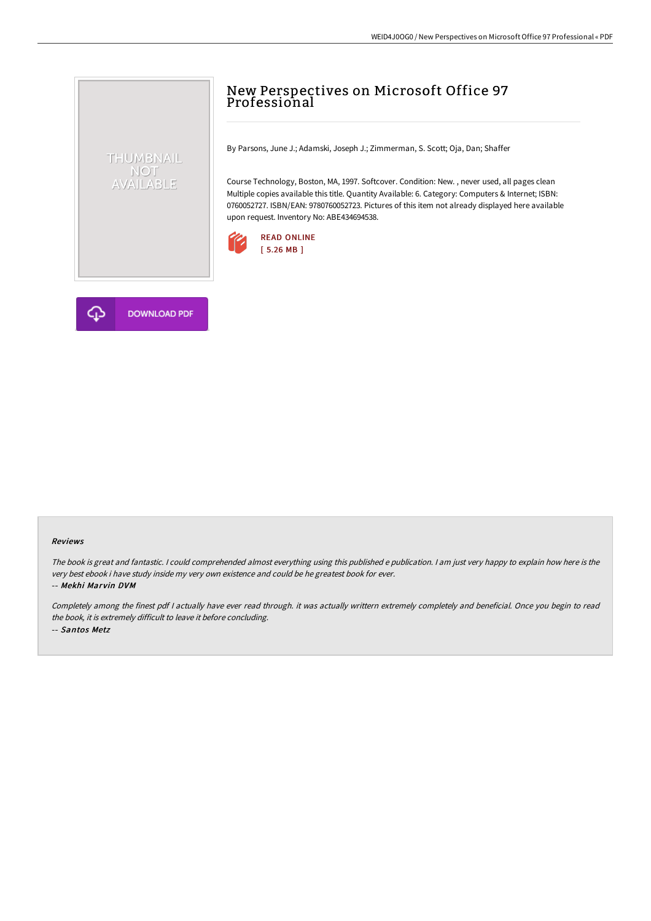## New Perspectives on Microsoft Office 97 Professional

By Parsons, June J.; Adamski, Joseph J.; Zimmerman, S. Scott; Oja, Dan; Shaffer

Course Technology, Boston, MA, 1997. Softcover. Condition: New. , never used, all pages clean Multiple copies available this title. Quantity Available: 6. Category: Computers & Internet; ISBN: 0760052727. ISBN/EAN: 9780760052723. Pictures of this item not already displayed here available upon request. Inventory No: ABE434694538.





THUMBNAIL NOT<br>AVAILABLE

## Reviews

The book is great and fantastic. <sup>I</sup> could comprehended almost everything using this published <sup>e</sup> publication. <sup>I</sup> am just very happy to explain how here is the very best ebook i have study inside my very own existence and could be he greatest book for ever.

-- Mekhi Marvin DVM

Completely among the finest pdf <sup>I</sup> actually have ever read through. it was actually writtern extremely completely and beneficial. Once you begin to read the book, it is extremely difficult to leave it before concluding. -- Santos Metz